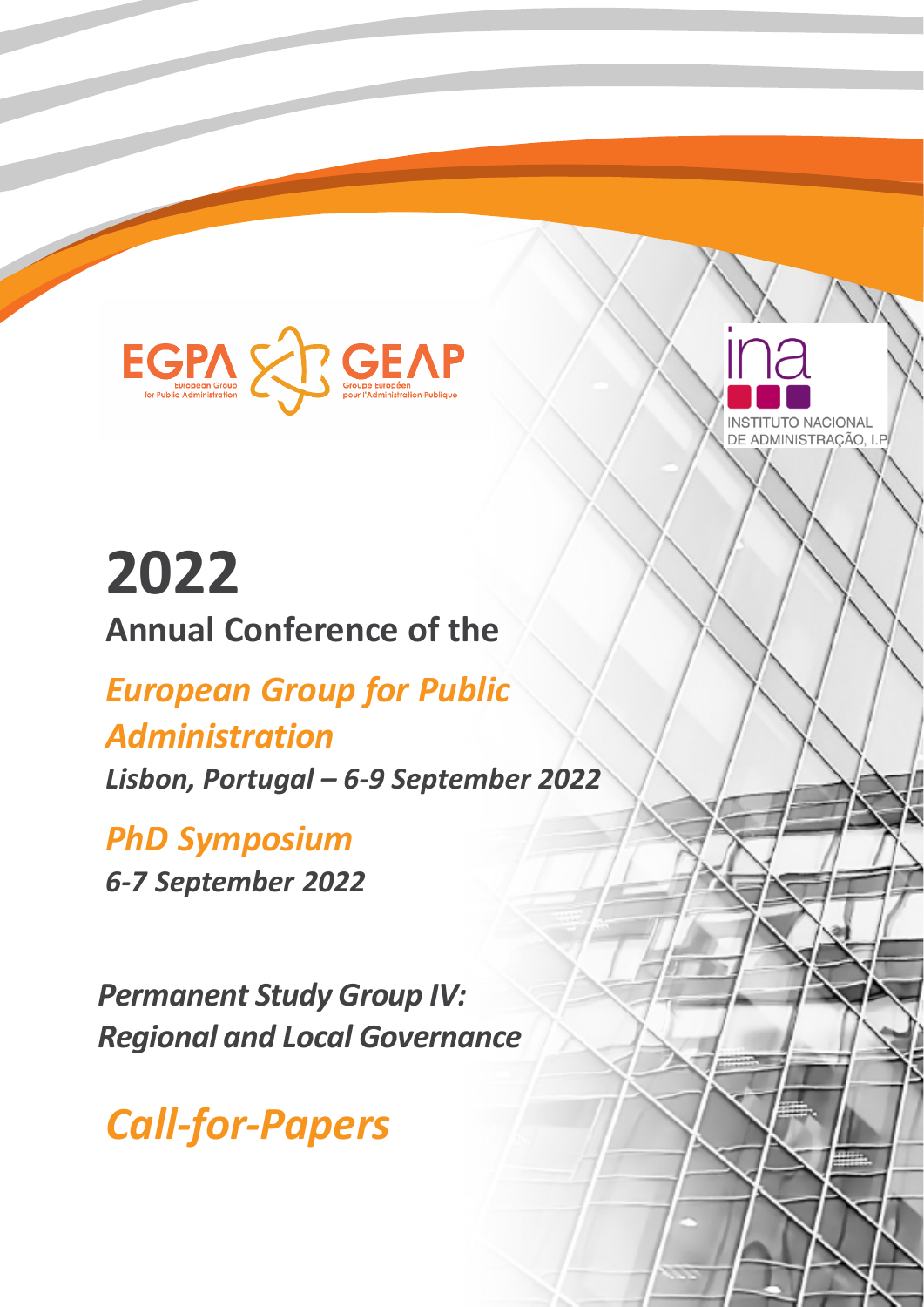



# **2022 Annual Conference of the**

# *European Group for Public Administration*

*Lisbon, Portugal – 6-9 September 2022*

*PhD Symposium 6-7 September 2022*

*Permanent Study Group IV: Regional and Local Governance*

*Call-for-Papers*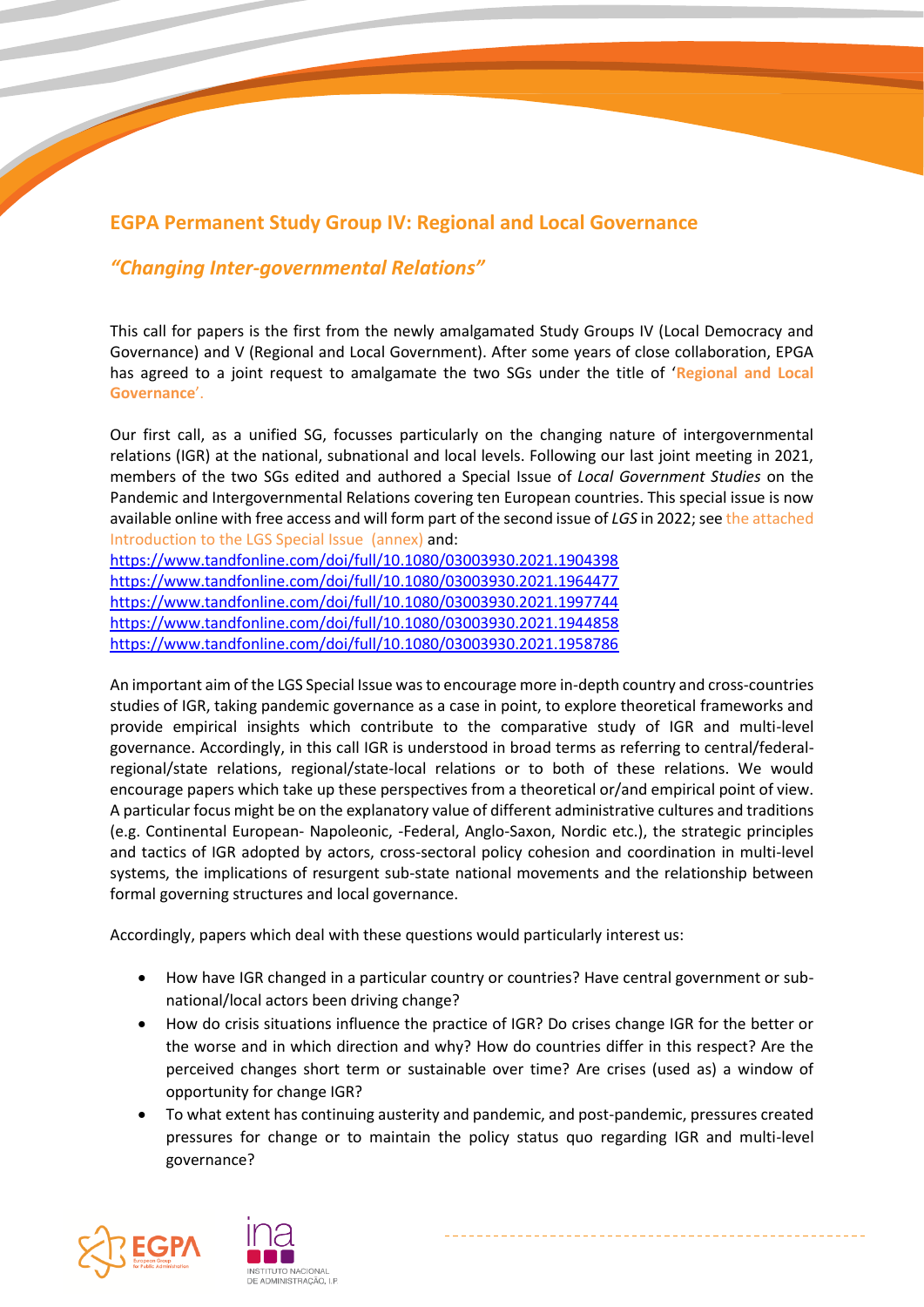## **EGPA Permanent Study Group IV: Regional and Local Governance**

#### *"Changing Inter-governmental Relations"*

This call for papers is the first from the newly amalgamated Study Groups IV (Local Democracy and Governance) and V (Regional and Local Government). After some years of close collaboration, EPGA has agreed to a joint request to amalgamate the two SGs under the title of '**Regional and Local Governance**'.

Our first call, as a unified SG, focusses particularly on the changing nature of intergovernmental relations (IGR) at the national, subnational and local levels. Following our last joint meeting in 2021, members of the two SGs edited and authored a Special Issue of *Local Government Studies* on the Pandemic and Intergovernmental Relations covering ten European countries. This special issue is now available online with free access and will form part of the second issue of *LGS* in 2022; see the attached Introduction to the LGS Special Issue (annex) and:

<https://www.tandfonline.com/doi/full/10.1080/03003930.2021.1904398> <https://www.tandfonline.com/doi/full/10.1080/03003930.2021.1964477> <https://www.tandfonline.com/doi/full/10.1080/03003930.2021.1997744> <https://www.tandfonline.com/doi/full/10.1080/03003930.2021.1944858> <https://www.tandfonline.com/doi/full/10.1080/03003930.2021.1958786>

An important aim of the LGS Special Issue was to encourage more in-depth country and cross-countries studies of IGR, taking pandemic governance as a case in point, to explore theoretical frameworks and provide empirical insights which contribute to the comparative study of IGR and multi-level governance. Accordingly, in this call IGR is understood in broad terms as referring to central/federalregional/state relations, regional/state-local relations or to both of these relations. We would encourage papers which take up these perspectives from a theoretical or/and empirical point of view. A particular focus might be on the explanatory value of different administrative cultures and traditions (e.g. Continental European- Napoleonic, -Federal, Anglo-Saxon, Nordic etc.), the strategic principles and tactics of IGR adopted by actors, cross-sectoral policy cohesion and coordination in multi-level systems, the implications of resurgent sub-state national movements and the relationship between formal governing structures and local governance.

Accordingly, papers which deal with these questions would particularly interest us:

- How have IGR changed in a particular country or countries? Have central government or subnational/local actors been driving change?
- How do crisis situations influence the practice of IGR? Do crises change IGR for the better or the worse and in which direction and why? How do countries differ in this respect? Are the perceived changes short term or sustainable over time? Are crises (used as) a window of opportunity for change IGR?
- To what extent has continuing austerity and pandemic, and post-pandemic, pressures created pressures for change or to maintain the policy status quo regarding IGR and multi-level governance?

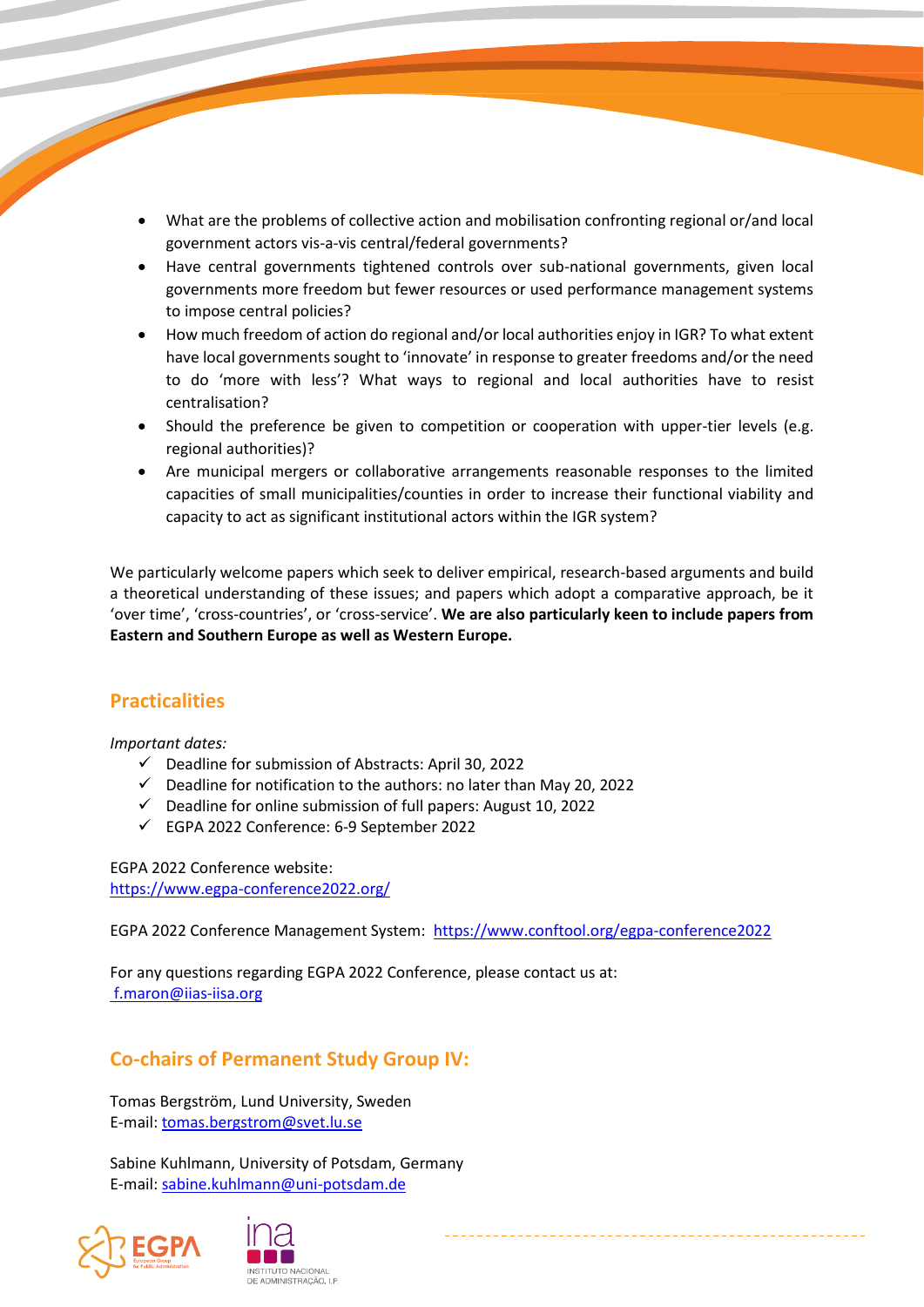- What are the problems of collective action and mobilisation confronting regional or/and local government actors vis-a-vis central/federal governments?
- Have central governments tightened controls over sub-national governments, given local governments more freedom but fewer resources or used performance management systems to impose central policies?
- How much freedom of action do regional and/or local authorities enjoy in IGR? To what extent have local governments sought to 'innovate' in response to greater freedoms and/or the need to do 'more with less'? What ways to regional and local authorities have to resist centralisation?
- Should the preference be given to competition or cooperation with upper-tier levels (e.g. regional authorities)?
- Are municipal mergers or collaborative arrangements reasonable responses to the limited capacities of small municipalities/counties in order to increase their functional viability and capacity to act as significant institutional actors within the IGR system?

We particularly welcome papers which seek to deliver empirical, research-based arguments and build a theoretical understanding of these issues; and papers which adopt a comparative approach, be it 'over time', 'cross-countries', or 'cross-service'. **We are also particularly keen to include papers from Eastern and Southern Europe as well as Western Europe.**

#### **Practicalities**

*Important dates:*

- ✓ Deadline for submission of Abstracts: April 30, 2022
- $\checkmark$  Deadline for notification to the authors: no later than May 20, 2022
- $\checkmark$  Deadline for online submission of full papers: August 10, 2022
- ✓ EGPA 2022 Conference: 6-9 September 2022

EGPA 2022 Conference website: <https://www.egpa-conference2022.org/>

EGPA 2022 Conference Management System: <https://www.conftool.org/egpa-conference2022>

For any questions regarding EGPA 2022 Conference, please contact us at: [f.maron@iias-iisa.org](mailto:%20f.maron@iias-iisa.org)

## **Co-chairs of Permanent Study Group IV:**

Tomas Bergström, Lund University, Sweden E-mail: [tomas.bergstrom@svet.lu.se](mailto:tomas.bergstrom@svet.lu.se)

Sabine Kuhlmann, University of Potsdam, Germany E-mail: [sabine.kuhlmann@uni-potsdam.de](mailto:sabine.kuhlmann@uni-potsdam.de)